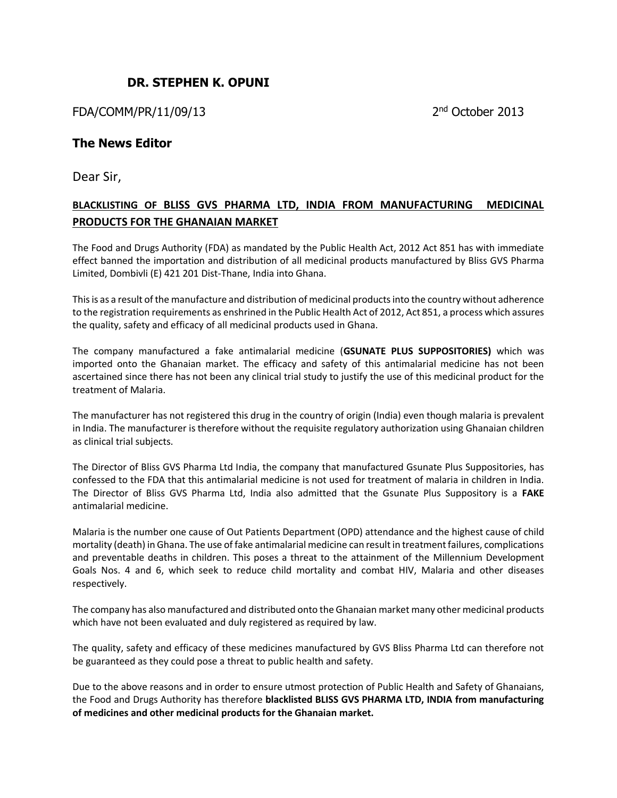## **DR. STEPHEN K. OPUNI**

FDA/COMM/PR/11/09/13 2

2<sup>nd</sup> October 2013

## **The News Editor**

Dear Sir,

## **BLACKLISTING OF BLISS GVS PHARMA LTD, INDIA FROM MANUFACTURING MEDICINAL PRODUCTS FOR THE GHANAIAN MARKET**

The Food and Drugs Authority (FDA) as mandated by the Public Health Act, 2012 Act 851 has with immediate effect banned the importation and distribution of all medicinal products manufactured by Bliss GVS Pharma Limited, Dombivli (E) 421 201 Dist-Thane, India into Ghana.

This is as a result of the manufacture and distribution of medicinal products into the country without adherence to the registration requirements as enshrined in the Public Health Act of 2012, Act 851, a process which assures the quality, safety and efficacy of all medicinal products used in Ghana.

The company manufactured a fake antimalarial medicine (**GSUNATE PLUS SUPPOSITORIES)** which was imported onto the Ghanaian market. The efficacy and safety of this antimalarial medicine has not been ascertained since there has not been any clinical trial study to justify the use of this medicinal product for the treatment of Malaria.

The manufacturer has not registered this drug in the country of origin (India) even though malaria is prevalent in India. The manufacturer is therefore without the requisite regulatory authorization using Ghanaian children as clinical trial subjects.

The Director of Bliss GVS Pharma Ltd India, the company that manufactured Gsunate Plus Suppositories, has confessed to the FDA that this antimalarial medicine is not used for treatment of malaria in children in India. The Director of Bliss GVS Pharma Ltd, India also admitted that the Gsunate Plus Suppository is a **FAKE**  antimalarial medicine.

Malaria is the number one cause of Out Patients Department (OPD) attendance and the highest cause of child mortality (death) in Ghana. The use of fake antimalarial medicine can result in treatment failures, complications and preventable deaths in children. This poses a threat to the attainment of the Millennium Development Goals Nos. 4 and 6, which seek to reduce child mortality and combat HIV, Malaria and other diseases respectively.

The company has also manufactured and distributed onto the Ghanaian market many other medicinal products which have not been evaluated and duly registered as required by law.

The quality, safety and efficacy of these medicines manufactured by GVS Bliss Pharma Ltd can therefore not be guaranteed as they could pose a threat to public health and safety.

Due to the above reasons and in order to ensure utmost protection of Public Health and Safety of Ghanaians, the Food and Drugs Authority has therefore **blacklisted BLISS GVS PHARMA LTD, INDIA from manufacturing of medicines and other medicinal products for the Ghanaian market.**